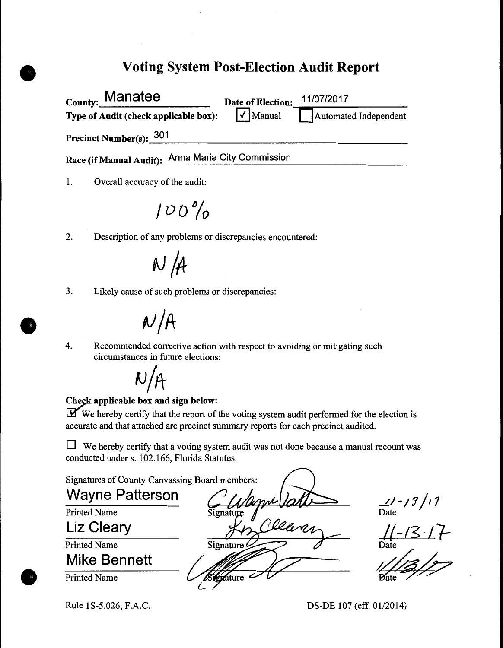#### **Voting System Post-Election Audit Report**

**County: Manatee Date of Election:** 11/07/2017<br> **Type of Audit (check applicable box):**  $\sqrt{\frac{1}{2}}$  **Manual Automated Independent Type of Audit (check applicable box):** Precinct Number(s): 301 **Race (if Manual Audit):** Anna Maria City Commission

1. Overall accuracy of the audit:

 $100\%$ 

2. Description of any problems or discrepancies encountered:

 $N/A$ 

3. Likely cause of such problems or discrepancies:

 $\alpha$ /A

•

•

**•** 

4. Recommended corrective action with respect to avoiding or mitigating such circumstances in future elections:

# $N/A$

#### Check applicable box and sign below:

**l:B"** We hereby certify that the report of the voting system audit performed for the election is accurate and that attached are precinct summary reports for each precinct audited.

 $\Box$  We hereby certify that a voting system audit was not done because a manual recount was conducted under s. 102.166, Florida Statutes.

Signatures of County Canvassing Board members:

Wayne Patterson */J--11/,1* ~ *<sup>I</sup>* Printed Name Date *l(-13.17*<br>Date<br>Mate 2/2<br>Date 2/2 Liz Cleary Printed Name Signatu Mike Bennett Printed Name

Rule 1S-5.026, F.A.C. DS-DE 107 (eff. 01/2014)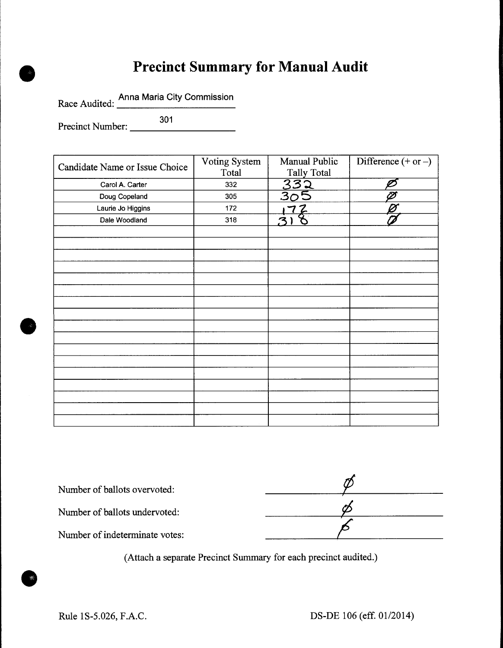## **• Precinct Summary for Manual Audit**

Race Audited: <u>Anna Maria City Commission</u>

Precinct Number: 301

|            | Candidate Name or Issue Choice | Voting System<br>Total | Manual Public<br><b>Tally Total</b> | Difference $(+ or -)$    |  |  |
|------------|--------------------------------|------------------------|-------------------------------------|--------------------------|--|--|
|            | Carol A. Carter                | 332                    | 332                                 |                          |  |  |
|            | Doug Copeland                  | 305                    | 305                                 | Ø                        |  |  |
|            | Laurie Jo Higgins              | 172                    | $\boldsymbol{z}$                    | $\overline{\mathscr{B}}$ |  |  |
|            | Dale Woodland                  | 318                    |                                     |                          |  |  |
|            |                                |                        |                                     |                          |  |  |
|            |                                |                        |                                     |                          |  |  |
|            |                                |                        |                                     |                          |  |  |
|            |                                |                        |                                     |                          |  |  |
|            |                                |                        |                                     |                          |  |  |
|            |                                |                        |                                     |                          |  |  |
|            |                                |                        |                                     |                          |  |  |
| $\sim$ $z$ |                                |                        |                                     |                          |  |  |
|            |                                |                        |                                     |                          |  |  |
|            |                                |                        |                                     |                          |  |  |
|            |                                |                        |                                     |                          |  |  |
|            |                                |                        |                                     |                          |  |  |
|            |                                |                        |                                     |                          |  |  |
|            |                                |                        |                                     |                          |  |  |
|            |                                |                        |                                     |                          |  |  |
|            |                                |                        |                                     |                          |  |  |

| Number of ballots overvoted:   |  |
|--------------------------------|--|
| Number of ballots undervoted:  |  |
| Number of indeterminate votes: |  |

(Attach a separate Precinct Summary for each precinct audited.)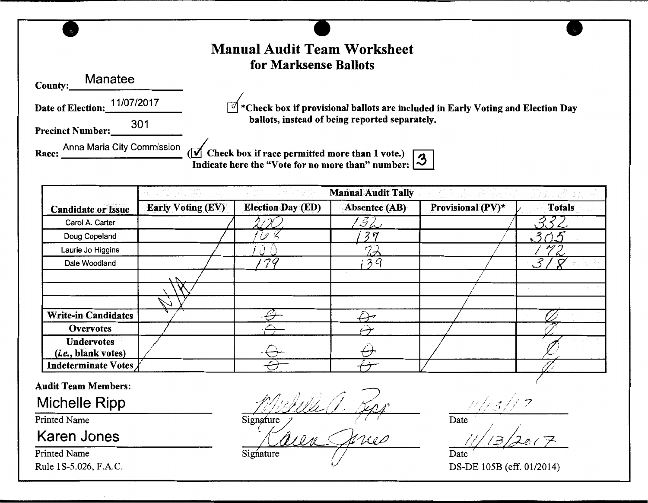|                                     | <b>Manual Audit Team Worksheet</b>                                                                                                                              |
|-------------------------------------|-----------------------------------------------------------------------------------------------------------------------------------------------------------------|
|                                     | for Marksense Ballots                                                                                                                                           |
| Manatee<br>County:                  |                                                                                                                                                                 |
| 11/07/2017<br>Date of Election:     | $\boxed{\circ}$ *Check box if provisional ballots are included in Early Voting and Election Day                                                                 |
| 301<br><b>Precinct Number:</b>      | ballots, instead of being reported separately.                                                                                                                  |
| Anna Maria City Commission<br>Race: | $\sqrt{\phantom{a}}$ Check box if race permitted more than 1 vote.) $\sqrt{\phantom{a}}$<br>Indicate here the "Vote for no more than" number: $\boxed{3}$<br>(⊠ |

|                            |                          |                          | <b>Manual Audit Tally</b> |                   |               |
|----------------------------|--------------------------|--------------------------|---------------------------|-------------------|---------------|
| <b>Candidate or Issue</b>  | <b>Early Voting (EV)</b> | <b>Election Day (ED)</b> | Absentee (AB)             | Provisional (PV)* | <b>Totals</b> |
| Carol A. Carter            |                          |                          | $32\,$                    |                   |               |
| Doug Copeland              |                          |                          | るけ                        |                   | .305          |
| Laurie Jo Higgins          |                          |                          | بسب<br>ッ                  |                   |               |
| Dale Woodland              |                          | 79                       | 3 <sub>q</sub>            |                   |               |
|                            | $\overline{\phantom{a}}$ |                          |                           |                   |               |
|                            |                          |                          |                           |                   |               |
|                            |                          |                          |                           |                   |               |
| <b>Write-in Candidates</b> |                          |                          |                           |                   |               |
| Overvotes                  |                          |                          |                           |                   |               |
| <b>Undervotes</b>          |                          |                          |                           |                   |               |
| (i.e., blank votes)        |                          |                          |                           |                   |               |
| Indeterminate Votes        |                          |                          |                           |                   |               |

Audit Team Members:

Michelle Ripp

Printed Name

Karen Jones

Printed Name Rule 1S-5.026, F.A.C.

Signature )<br>(ULA Perres  $\overline{\text{Signature}}$ 

j\_/

.. ., .:1 *,,1 /* 

Date  $\frac{1}{\frac{1}{2}}$  ac  $\frac{7}{7}$ 

DS-DE 105B (eff. 01/2014)